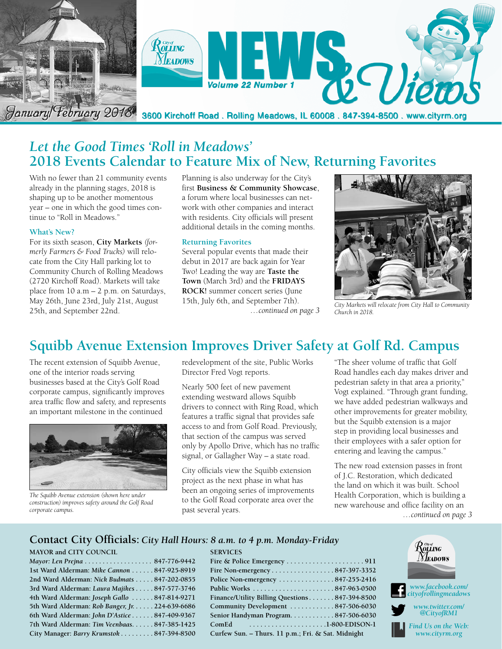

# *Let the Good Times 'Roll in Meadows'* **2018 Events Calendar to Feature Mix of New, Returning Favorites**

With no fewer than 21 community events already in the planning stages, 2018 is shaping up to be another momentous year – one in which the good times continue to "Roll in Meadows."

#### **What's New?**

For its sixth season, **City Markets** *(formerly Farmers & Food Trucks)* will relocate from the City Hall parking lot to Community Church of Rolling Meadows (2720 Kirchoff Road). Markets will take place from 10 a.m – 2 p.m. on Saturdays, May 26th, June 23rd, July 21st, August 25th, and September 22nd.

Planning is also underway for the City's first **Business & Community Showcase**, a forum where local businesses can network with other companies and interact with residents. City officials will present additional details in the coming months.

#### **Returning Favorites**

Several popular events that made their debut in 2017 are back again for Year Two! Leading the way are **Taste the Town** (March 3rd) and the **FRIDAYS ROCK!** summer concert series (June 15th, July 6th, and September 7th).



*…continued on page 3 City Markets will relocate from City Hall to Community Church in 2018.*

# **Squibb Avenue Extension Improves Driver Safety at Golf Rd. Campus**

The recent extension of Squibb Avenue, one of the interior roads serving businesses based at the City's Golf Road corporate campus, significantly improves area traffic flow and safety, and represents an important milestone in the continued



*The Squibb Avenue extension (shown here under construction) improves safety around the Golf Road corporate campus.*

redevelopment of the site, Public Works Director Fred Vogt reports.

Nearly 500 feet of new pavement extending westward allows Squibb drivers to connect with Ring Road, which features a traffic signal that provides safe access to and from Golf Road. Previously, that section of the campus was served only by Apollo Drive, which has no traffic signal, or Gallagher Way – a state road.

City officials view the Squibb extension project as the next phase in what has been an ongoing series of improvements to the Golf Road corporate area over the past several years.

**SERVICES**

"The sheer volume of traffic that Golf Road handles each day makes driver and pedestrian safety in that area a priority," Vogt explained. "Through grant funding, we have added pedestrian walkways and other improvements for greater mobility, but the Squibb extension is a major step in providing local businesses and their employees with a safer option for entering and leaving the campus."

The new road extension passes in front of J.C. Restoration, which dedicated the land on which it was built. School Health Corporation, which is building a new warehouse and office facility on an *…continued on page 3*

## **Contact City Officials:** *City Hall Hours: 8 a.m. to 4 p.m. Monday-Friday*

#### **MAYOR and CITY COUNCIL**

| Mayor: Len Prejna 847-776-9442                  |
|-------------------------------------------------|
| 1st Ward Alderman: Mike Cannon 847-925-8919     |
| 2nd Ward Alderman: Nick Budmats 847-202-0855    |
| 3rd Ward Alderman: Laura Majikes 847-577-3746   |
| 4th Ward Alderman: Joseph Gallo 847-814-9271    |
| 5th Ward Alderman: Rob Banger, Jr. 224-639-6686 |
| 6th Ward Alderman: John D'Astice  847-409-9367  |
| 7th Ward Alderman: Tim Veenbaas847-385-1425     |
| City Manager: Barry Krumstok 847-394-8500       |
|                                                 |

| Fire & Police Emergency 911                              |  |
|----------------------------------------------------------|--|
| Fire Non-emergency 847-397-3352                          |  |
| Police Non-emergency $\dots\dots\dots\dots 847-255-2416$ |  |
|                                                          |  |
| Finance/Utility Billing Questions847-394-8500            |  |
| Community Development 847-506-6030                       |  |
| Senior Handyman Program. 847-506-6030                    |  |
| $ComEd$ 1-800-EDISON-1                                   |  |
| Curfew Sun. – Thurs. 11 p.m.; Fri. & Sat. Midnight       |  |

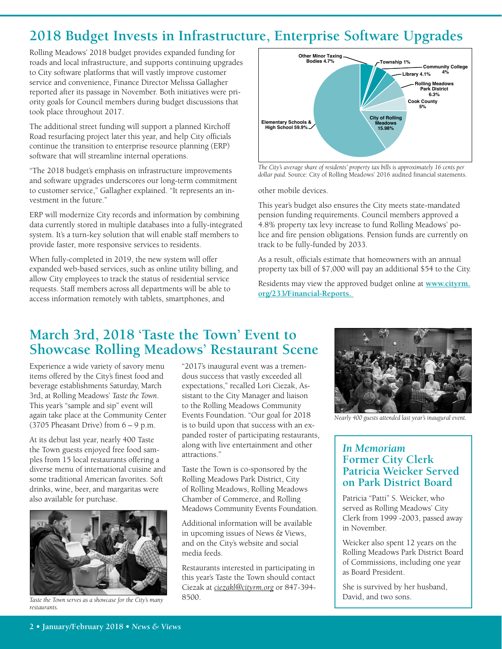# **2018 Budget Invests in Infrastructure, Enterprise Software Upgrades**

Rolling Meadows' 2018 budget provides expanded funding for roads and local infrastructure, and supports continuing upgrades to City software platforms that will vastly improve customer service and convenience, Finance Director Melissa Gallagher reported after its passage in November. Both initiatives were priority goals for Council members during budget discussions that took place throughout 2017.

The additional street funding will support a planned Kirchoff **Elementary Schools &** Road resurfacing project later this year, and help City officials continue the transition to enterprise resource planning (ERP) software that will streamline internal operations.

"The 2018 budget's emphasis on infrastructure improvements and software upgrades underscores our long-term commitment to customer service," Gallagher explained. "It represents an investment in the future."

ERP will modernize City records and information by combining data currently stored in multiple databases into a fully-integrated system. It's a turn-key solution that will enable staff members to provide faster, more responsive services to residents.

When fully-completed in 2019, the new system will offer expanded web-based services, such as online utility billing, and allow City employees to track the status of residential service requests. Staff members across all departments will be able to access information remotely with tablets, smartphones, and



*The City's average share of residents' property tax bills is approximately 16 cents per dollar paid.* Source: City of Rolling Meadows' 2016 audited financial statements.

other mobile devices.

This year's budget also ensures the City meets state-mandated pension funding requirements. Council members approved a 4.8% property tax levy increase to fund Rolling Meadows' police and fire pension obligations. Pension funds are currently on track to be fully-funded by 2033.

As a result, officials estimate that homeowners with an annual property tax bill of \$7,000 will pay an additional \$54 to the City.

Residents may view the approved budget online at **[www.cityrm.](http://www.cityrm.org/233/Financial-Reports. ) [org/233/Financial-Reports.](http://www.cityrm.org/233/Financial-Reports. )** 

# **March 3rd, 2018 'Taste the Town' Event to Showcase Rolling Meadows' Restaurant Scene**

Experience a wide variety of savory menu items offered by the City's finest food and beverage establishments Saturday, March 3rd, at Rolling Meadows' *Taste the Town*. This year's "sample and sip" event will again take place at the Community Center (3705 Pheasant Drive) from  $6 - 9$  p.m.

At its debut last year, nearly 400 Taste the Town guests enjoyed free food samples from 15 local restaurants offering a diverse menu of international cuisine and some traditional American favorites. Soft drinks, wine, beer, and margaritas were also available for purchase.



*Taste the Town serves as a showcase for the City's many restaurants.*

"2017's inaugural event was a tremendous success that vastly exceeded all expectations," recalled Lori Ciezak, Assistant to the City Manager and liaison to the Rolling Meadows Community Events Foundation. "Our goal for 2018 is to build upon that success with an expanded roster of participating restaurants, along with live entertainment and other attractions."

Taste the Town is co-sponsored by the Rolling Meadows Park District, City of Rolling Meadows, Rolling Meadows Chamber of Commerce, and Rolling Meadows Community Events Foundation.

Additional information will be available in upcoming issues of News & Views, and on the City's website and social media feeds.

Restaurants interested in participating in this year's Taste the Town should contact Ciezak at *[ciezakl@cityrm.org](mailto:ciezakl%40cityrm.org?subject=)* or 847-394- 8500.



*Nearly 400 guests attended last year's inaugural event.*

## *In Memoriam* **Former City Clerk Patricia Weicker Served on Park District Board**

Patricia "Patti" S. Weicker, who served as Rolling Meadows' City Clerk from 1999 -2003, passed away in November.

Weicker also spent 12 years on the Rolling Meadows Park District Board of Commissions, including one year as Board President.

She is survived by her husband, David, and two sons.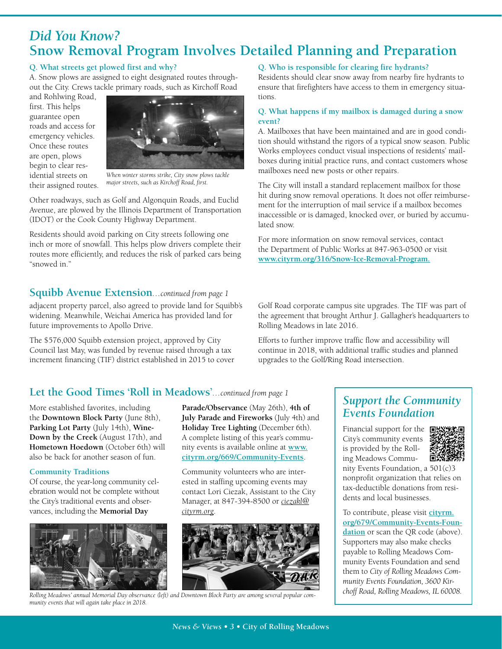# *Did You Know?* **Snow Removal Program Involves Detailed Planning and Preparation**

## **Q. What streets get plowed first and why?**

A. Snow plows are assigned to eight designated routes throughout the City. Crews tackle primary roads, such as Kirchoff Road

and Rohlwing Road, first. This helps guarantee open roads and access for emergency vehicles. Once these routes are open, plows begin to clear residential streets on their assigned routes.



*When winter storms strike, City snow plows tackle major streets, such as Kirchoff Road, first.*

Other roadways, such as Golf and Algonquin Roads, and Euclid Avenue, are plowed by the Illinois Department of Transportation (IDOT) or the Cook County Highway Department.

Residents should avoid parking on City streets following one inch or more of snowfall. This helps plow drivers complete their routes more efficiently, and reduces the risk of parked cars being "snowed in."

## **Squibb Avenue Extension***…continued from page 1*

adjacent property parcel, also agreed to provide land for Squibb's widening. Meanwhile, Weichai America has provided land for future improvements to Apollo Drive.

The \$576,000 Squibb extension project, approved by City Council last May, was funded by revenue raised through a tax increment financing (TIF) district established in 2015 to cover

## **Q. Who is responsible for clearing fire hydrants?**

Residents should clear snow away from nearby fire hydrants to ensure that firefighters have access to them in emergency situations.

#### **Q. What happens if my mailbox is damaged during a snow event?**

A. Mailboxes that have been maintained and are in good condition should withstand the rigors of a typical snow season. Public Works employees conduct visual inspections of residents' mailboxes during initial practice runs, and contact customers whose mailboxes need new posts or other repairs.

The City will install a standard replacement mailbox for those hit during snow removal operations. It does not offer reimbursement for the interruption of mail service if a mailbox becomes inaccessible or is damaged, knocked over, or buried by accumulated snow.

For more information on snow removal services, contact the Department of Public Works at 847-963-0500 or visit **[www.cityrm.org/316/Snow-Ice-Removal-Program.](mailto:www.cityrm.org/316/Snow-Ice-Removal-Program.?subject=)**

Golf Road corporate campus site upgrades. The TIF was part of the agreement that brought Arthur J. Gallagher's headquarters to Rolling Meadows in late 2016.

Efforts to further improve traffic flow and accessibility will continue in 2018, with additional traffic studies and planned upgrades to the Golf/Ring Road intersection.

## **Let the Good Times 'Roll in Meadows'***…continued from page 1*

More established favorites, including the **Downtown Block Party** (June 8th), **Parking Lot Party** (July 14th), **Wine-Down by the Creek** (August 17th), and **Hometown Hoedown** (October 6th) will also be back for another season of fun.

#### **Community Traditions**

Of course, the year-long community celebration would not be complete without the City's traditional events and observances, including the **Memorial Day** 



Rolling Meadows' annual Memorial Day observance (left) and Downtown Block Party are among several popular com-<br> **Rolling Meadows' annual Memorial Day observance (left) and Downtown Block Party are among several popular com** *munity events that will again take place in 2018.*

*[cityrm.org](mailto:ciezakl%40cityrm.org?subject=)*.

## *Support the Community Events Foundation*

Financial support for the  $\Box$ City's community events is provided by the Rolling Meadows Commu-



nity Events Foundation, a 501(c)3 nonprofit organization that relies on tax-deductible donations from residents and local businesses.

To contribute, please visit **[cityrm.](http://www.cityrm.org/679/Community-Events-Foundation) [org/679/Community-Events-Foun](http://www.cityrm.org/679/Community-Events-Foundation)[dation](http://www.cityrm.org/679/Community-Events-Foundation)** or scan the QR code (above). Supporters may also make checks payable to Rolling Meadows Community Events Foundation and send them to *City of Rolling Meadows Community Events Foundation, 3600 Kir-*

**Parade/Observance** (May 26th), **4th of July Parade and Fireworks** (July 4th) and **Holiday Tree Lighting** (December 6th). A complete listing of this year's community events is available online at **[www.](http://www.cityrm.org/669/Community-Events) [cityrm.org/669/Community-Events](http://www.cityrm.org/669/Community-Events)**. Community volunteers who are interested in staffing upcoming events may contact Lori Ciezak, Assistant to the City Manager, at 847-394-8500 or *[ciezakl@](mailto:ciezakl%40cityrm.org?subject=)*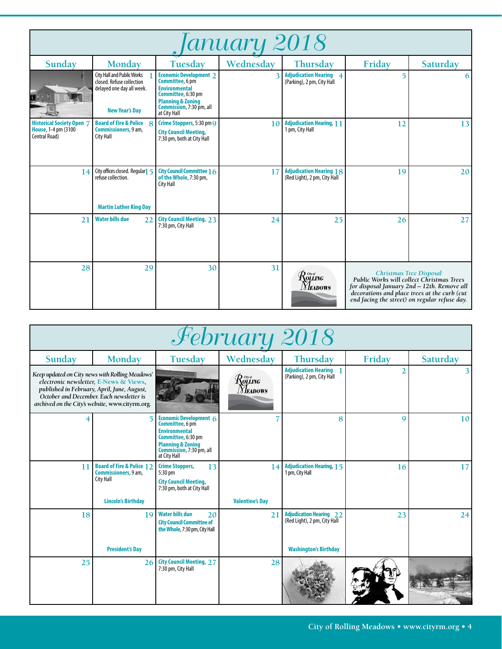|                                                                                 |                                                                                                                      |                                                                                                                                                                 | 'anuary 2018 |                                                                                                                   |                                                                                                                               |                                                                                            |
|---------------------------------------------------------------------------------|----------------------------------------------------------------------------------------------------------------------|-----------------------------------------------------------------------------------------------------------------------------------------------------------------|--------------|-------------------------------------------------------------------------------------------------------------------|-------------------------------------------------------------------------------------------------------------------------------|--------------------------------------------------------------------------------------------|
| Sunday                                                                          | Monday                                                                                                               | <b>Tuesday</b>                                                                                                                                                  | Wednesday    | <b>Thursday</b>                                                                                                   | Friday                                                                                                                        | Saturday                                                                                   |
|                                                                                 | <b>City Hall and Public Works</b><br>closed. Refuse collection<br>delayed one day all week.<br><b>New Year's Day</b> | <b>Economic Development</b> 2<br>Committee, 6 pm<br><b>Environmental</b><br>Committee, 6:30 pm<br>Planning & Zoning<br>Commission, 7:30 pm, all<br>at City Hall |              | <b>Adjudication Hearing 4</b><br>(Parking), 2 pm, City Hall                                                       | 5                                                                                                                             | 6                                                                                          |
| Historical Society Open<br><b>House</b> , 1-4 pm (3100<br><b>Central Road</b> ) | <b>Board of Fire &amp; Police 8</b><br>Commissioners, 9 am,<br><b>City Hall</b>                                      | Crime Stoppers, 5:30 pm Q<br><b>City Council Meeting,</b><br>7:30 pm, both at City Hall                                                                         | 10           | <b>Adjudication Hearing, 11</b><br>1 pm, City Hall                                                                | 12                                                                                                                            | 13                                                                                         |
| 14                                                                              | City offices closed. Regular 1 5<br>refuse collection.<br><b>Martin Luther King Day</b>                              | <b>City Council Committee 16</b><br>of the Whole, 7:30 pm,<br><b>City Hall</b>                                                                                  | 17           | <b>Adjudication Hearing 18</b><br>(Red Light), 2 pm, City Hall                                                    | 19                                                                                                                            | 20                                                                                         |
| 21                                                                              | <b>Water bills due</b><br>22                                                                                         | <b>City Council Meeting, 23</b><br>7:30 pm, City Hall                                                                                                           | 24           | 25                                                                                                                | 26                                                                                                                            | 27                                                                                         |
| 28                                                                              | 29                                                                                                                   | 30                                                                                                                                                              | 31           | $\mathcal{R}^{\tiny{{\scriptscriptstyle{{G\!\mathit{u}\!\mathit{v}\!\mathit{v}\!\mathit{v}}}}}$<br><i>Neadows</i> | <b>Christmas Tree Disposal</b><br>for disposal January 2nd - 12th. Remove all<br>decorations and place trees at the curb (cut | Public Works will collect Christmas Trees<br>end facing the street) on regular refuse day. |

|        |                                                                                                                                                                                                                                         |                                                                                                                                                                     | February 2018                         |                                                                |        |          |
|--------|-----------------------------------------------------------------------------------------------------------------------------------------------------------------------------------------------------------------------------------------|---------------------------------------------------------------------------------------------------------------------------------------------------------------------|---------------------------------------|----------------------------------------------------------------|--------|----------|
| Sunday | Monday                                                                                                                                                                                                                                  | <b>Tuesday</b>                                                                                                                                                      | Wednesday                             | Thursday                                                       | Friday | Saturday |
|        | Keep updated on City news with Rolling Meadows'<br>electronic newsletter, E-News & Views,<br>published in February, April, June, August,<br>October and December. Each newsletter is<br>archived on the City's website, www.cityrm.org. |                                                                                                                                                                     | $\mathcal{R}$ outro<br><b>NEADOWS</b> | <b>Adjudication Hearing 1</b><br>(Parking), 2 pm, City Hall    |        | 3        |
|        | $\overline{5}$                                                                                                                                                                                                                          | Economic Development 6<br>Committee, 6 pm<br><b>Environmental</b><br>Committee, 6:30 pm<br><b>Planning &amp; Zoning</b><br>Commission, 7:30 pm, all<br>at City Hall |                                       | 8                                                              | 9      | 10       |
| 11     | <b>Board of Fire &amp; Police 12</b><br>Commissioners, 9 am,<br>City Hall                                                                                                                                                               | <b>Crime Stoppers,</b><br>13<br>$5:30 \text{ pm}$<br><b>City Council Meeting,</b><br>7:30 pm, both at City Hall                                                     | 14                                    | <b>Adjudication Hearing, 15</b><br>1 pm, City Hall             | 16     | 17       |
|        | <b>Lincoln's Birthday</b>                                                                                                                                                                                                               |                                                                                                                                                                     | <b>Valentine's Day</b>                |                                                                |        |          |
| 18     | 19                                                                                                                                                                                                                                      | <b>Water bills due</b><br>20<br><b>City Council Committee of</b><br>the Whole, 7:30 pm, City Hall                                                                   | 21                                    | <b>Adjudication Hearing 22</b><br>(Red Light), 2 pm, City Hall | 23     | 24       |
|        | <b>President's Day</b>                                                                                                                                                                                                                  |                                                                                                                                                                     |                                       | <b>Washington's Birthday</b>                                   |        |          |
| 25     | 26                                                                                                                                                                                                                                      | <b>City Council Meeting, 27</b><br>7:30 pm, City Hall                                                                                                               | 28                                    |                                                                |        |          |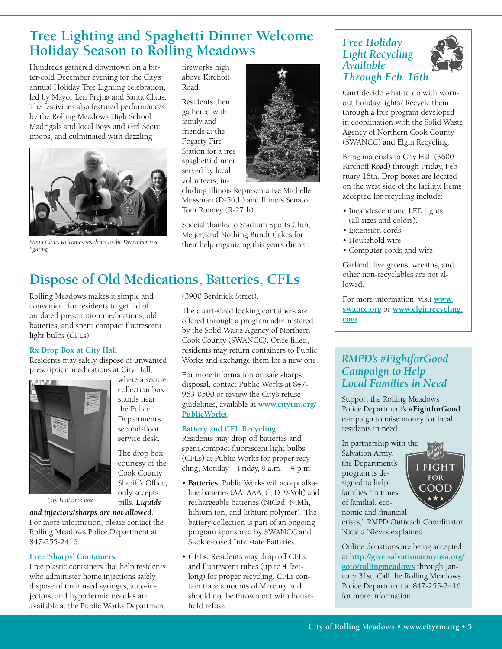# **Tree Lighting and Spaghetti Dinner Welcome Holiday Season to Rolling Meadows**

Hundreds gathered downtown on a bitter-cold December evening for the City's annual Holiday Tree Lighting celebration, led by Mayor Len Prejna and Santa Claus. The festivities also featured performances by the Rolling Meadows High School Madrigals and local Boys and Girl Scout troops, and culminated with dazzling



*Santa Claus welcomes residents to the December tree lighting.*

fireworks high above Kirchoff Road.

Residents then gathered with family and friends at the Fogarty Fire Station for a free spaghetti dinner served by local volunteers, in-



cluding Illinois Representative Michelle Mussman (D-56th) and Illinois Senator Tom Rooney (R-27th).

Special thanks to Stadium Sports Club, Meijer, and Nothing Bundt Cakes for their help organizing this year's dinner.

# **Dispose of Old Medications, Batteries, CFLs**

where a secure collection box stands near the Police Department's second-floor service desk. The drop box, courtesy of the Cook County Sheriff's Office, only accepts pills. *Liquids* 

Rolling Meadows makes it simple and convenient for residents to get rid of outdated prescription medications, old batteries, and spent compact fluorescent light bulbs (CFLs).

## **Rx Drop Box at City Hall**

Residents may safely dispose of unwanted prescription medications at City Hall,



*City Hall drop box*

*and injectors/sharps are not allowed*. For more information, please contact the Rolling Meadows Police Department at 847-255-2416.

## **Free 'Sharps' Containers**

Free plastic containers that help residents who administer home injections safely dispose of their used syringes, auto-injectors, and hypodermic needles are available at the Public Works Department (3900 Berdnick Street).

The quart-sized locking containers are offered through a program administered by the Solid Waste Agency of Northern Cook County (SWANCC). Once filled, residents may return containers to Public Works and exchange them for a new one.

For more information on safe sharps disposal, contact Public Works at 847- 963-0500 or review the City's refuse guidelines, available at **[www.cityrm.org/](http://www.cityrm.org/PublicWorks) [PublicWorks](http://www.cityrm.org/PublicWorks)**.

## **Battery and CFL Recycling**

Residents may drop off batteries and spent compact fluorescent light bulbs (CFLs) at Public Works for proper recycling, Monday – Friday, 9 a.m. – 4 p.m.

- **Batteries:** Public Works will accept alkaline batteries (AA, AAA, C, D, 9-Volt) and rechargeable batteries (NiCad, NiMh, lithium ion, and lithium polymer). The battery collection is part of an ongoing program sponsored by SWANCC and Skokie-based Interstate Batteries.
- **CFLs:** Residents may drop off CFLs and fluorescent tubes (up to 4 feetlong) for proper recycling. CFLs contain trace amounts of Mercury and should not be thrown out with household refuse.

## *Free Holiday Light Recycling Available Through Feb. 16th*



Can't decide what to do with wornout holiday lights? Recycle them through a free program developed in coordination with the Solid Waste Agency of Northern Cook County (SWANCC) and Elgin Recycling.

Bring materials to City Hall (3600 Kirchoff Road) through Friday, February 16th. Drop boxes are located on the west side of the facility. Items accepted for recycling include:

- Incandescent and LED lights (all sizes and colors).
- Extension cords.
- Household wire.
- Computer cords and wire.

Garland, live greens, wreaths, and other non-recyclables are not allowed.

For more information, visit **[www.](mailto:www.swancc.org?subject=) [swancc.org](mailto:www.swancc.org?subject=)** or **[www.elginrecycling.](mailto:www.elginrecycling.com?subject=) [com](mailto:www.elginrecycling.com?subject=)**.

## *RMPD's #FightforGood Campaign to Help Local Families in Need*

Support the Rolling Meadows Police Department's **#FightforGood**  campaign to raise money for local residents in need.

In partnership with the Salvation Army, the Department's program is designed to help families "in times of familial, economic and financial



crises," RMPD Outreach Coordinator Natalia Nieves explained.

Online donations are being accepted at **[http://give.salvationarmyusa.org/](http://give.salvationarmyusa.org/goto/rollingmeadows) [goto/rollingmeadows](http://give.salvationarmyusa.org/goto/rollingmeadows)** through January 31st. Call the Rolling Meadows Police Department at 847-255-2416 for more information.